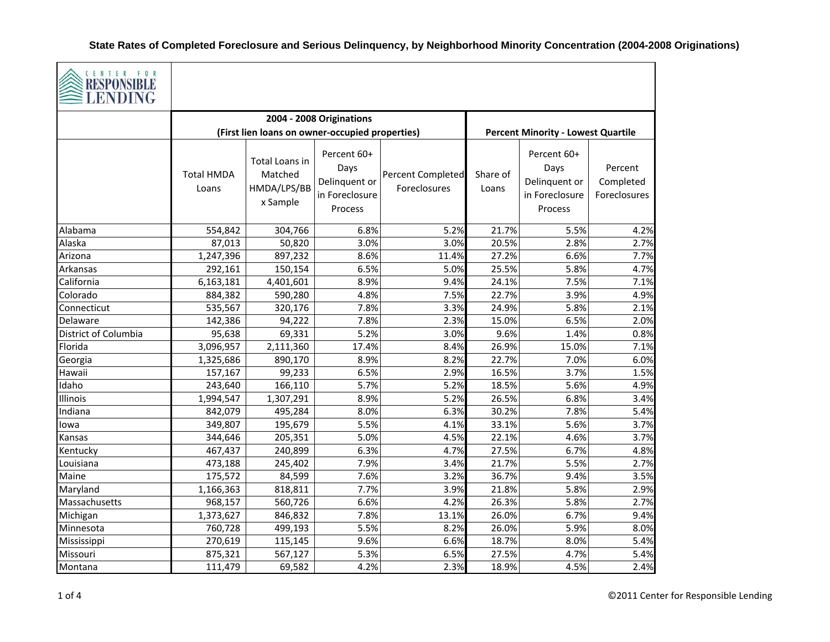| CENTER FOR<br>RESPONSIBLE<br>LENDING |                            |                                                      |                                                                   |                                          |                   |                                                                   |                                      |
|--------------------------------------|----------------------------|------------------------------------------------------|-------------------------------------------------------------------|------------------------------------------|-------------------|-------------------------------------------------------------------|--------------------------------------|
|                                      |                            | 2004 - 2008 Originations                             |                                                                   |                                          |                   |                                                                   |                                      |
|                                      |                            | (First lien loans on owner-occupied properties)      | <b>Percent Minority - Lowest Quartile</b>                         |                                          |                   |                                                                   |                                      |
|                                      | <b>Total HMDA</b><br>Loans | Total Loans in<br>Matched<br>HMDA/LPS/BB<br>x Sample | Percent 60+<br>Days<br>Delinquent or<br>in Foreclosure<br>Process | <b>Percent Completed</b><br>Foreclosures | Share of<br>Loans | Percent 60+<br>Days<br>Delinquent or<br>in Foreclosure<br>Process | Percent<br>Completed<br>Foreclosures |
| Alabama                              | 554,842                    | 304,766                                              | 6.8%                                                              | 5.2%                                     | 21.7%             | 5.5%                                                              | 4.2%                                 |
| Alaska                               | 87,013                     | 50,820                                               | 3.0%                                                              | 3.0%                                     | 20.5%             | 2.8%                                                              | 2.7%                                 |
| Arizona                              | 1,247,396                  | 897,232                                              | 8.6%                                                              | 11.4%                                    | 27.2%             | 6.6%                                                              | 7.7%                                 |
| Arkansas                             | 292,161                    | 150,154                                              | 6.5%                                                              | 5.0%                                     | 25.5%             | 5.8%                                                              | 4.7%                                 |
| California                           | 6,163,181                  | 4,401,601                                            | 8.9%                                                              | 9.4%                                     | 24.1%             | 7.5%                                                              | 7.1%                                 |
| Colorado                             | 884,382                    | 590,280                                              | 4.8%                                                              | 7.5%                                     | 22.7%             | 3.9%                                                              | 4.9%                                 |
| Connecticut                          | 535,567                    | 320,176                                              | 7.8%                                                              | 3.3%                                     | 24.9%             | 5.8%                                                              | 2.1%                                 |
| Delaware                             | 142,386                    | 94,222                                               | 7.8%                                                              | 2.3%                                     | 15.0%             | 6.5%                                                              | 2.0%                                 |
| District of Columbia                 | 95,638                     | 69,331                                               | 5.2%                                                              | 3.0%                                     | 9.6%              | 1.4%                                                              | 0.8%                                 |
| Florida                              | 3,096,957                  | 2,111,360                                            | 17.4%                                                             | 8.4%                                     | 26.9%             | 15.0%                                                             | 7.1%                                 |
| Georgia                              | 1,325,686                  | 890,170                                              | 8.9%                                                              | 8.2%                                     | 22.7%             | 7.0%                                                              | 6.0%                                 |
| Hawaii                               | 157,167                    | 99,233                                               | 6.5%                                                              | 2.9%                                     | 16.5%             | 3.7%                                                              | 1.5%                                 |
| Idaho                                | 243,640                    | 166,110                                              | 5.7%                                                              | 5.2%                                     | 18.5%             | 5.6%                                                              | 4.9%                                 |
| Illinois                             | 1,994,547                  | 1,307,291                                            | 8.9%                                                              | 5.2%                                     | 26.5%             | 6.8%                                                              | 3.4%                                 |
| Indiana                              | 842,079                    | 495,284                                              | 8.0%                                                              | 6.3%                                     | 30.2%             | 7.8%                                                              | 5.4%                                 |
| lowa                                 | 349,807                    | 195,679                                              | 5.5%                                                              | 4.1%                                     | 33.1%             | 5.6%                                                              | 3.7%                                 |
| Kansas                               | 344,646                    | 205,351                                              | 5.0%                                                              | 4.5%                                     | 22.1%             | 4.6%                                                              | 3.7%                                 |
| Kentucky                             | 467,437                    | 240,899                                              | 6.3%                                                              | 4.7%                                     | 27.5%             | 6.7%                                                              | 4.8%                                 |
| Louisiana                            | 473,188                    | 245,402                                              | 7.9%                                                              | 3.4%                                     | 21.7%             | 5.5%                                                              | 2.7%                                 |
| Maine                                | 175,572                    | 84,599                                               | 7.6%                                                              | 3.2%                                     | 36.7%             | 9.4%                                                              | 3.5%                                 |
| Maryland                             | 1,166,363                  | 818,811                                              | 7.7%                                                              | 3.9%                                     | 21.8%             | 5.8%                                                              | 2.9%                                 |
| Massachusetts                        | 968,157                    | 560,726                                              | 6.6%                                                              | 4.2%                                     | 26.3%             | 5.8%                                                              | 2.7%                                 |
| Michigan                             | 1,373,627                  | 846,832                                              | 7.8%                                                              | 13.1%                                    | 26.0%             | 6.7%                                                              | 9.4%                                 |
| Minnesota                            | 760,728                    | 499,193                                              | 5.5%                                                              | 8.2%                                     | 26.0%             | 5.9%                                                              | 8.0%                                 |
| Mississippi                          | 270,619                    | 115,145                                              | 9.6%                                                              | 6.6%                                     | 18.7%             | 8.0%                                                              | 5.4%                                 |
| Missouri                             | 875,321                    | 567,127                                              | 5.3%                                                              | 6.5%                                     | 27.5%             | 4.7%                                                              | 5.4%                                 |
| Montana                              | 111,479                    | 69,582                                               | 4.2%                                                              | 2.3%                                     | 18.9%             | 4.5%                                                              | 2.4%                                 |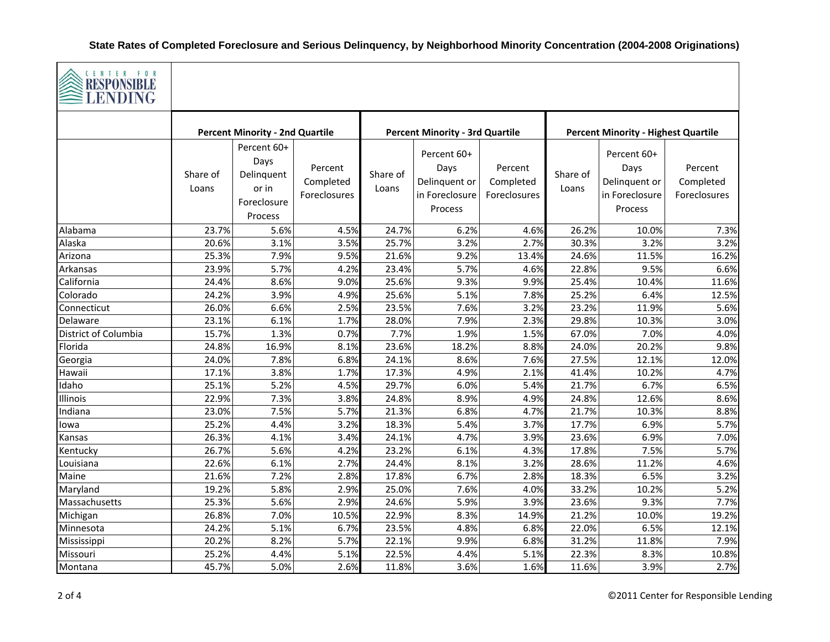

| $\geq$ LENDING         |                                        |                                                                      |                                      |                                        |                                                                   |                                      |                                            |                                                                   |                                      |
|------------------------|----------------------------------------|----------------------------------------------------------------------|--------------------------------------|----------------------------------------|-------------------------------------------------------------------|--------------------------------------|--------------------------------------------|-------------------------------------------------------------------|--------------------------------------|
|                        | <b>Percent Minority - 2nd Quartile</b> |                                                                      |                                      | <b>Percent Minority - 3rd Quartile</b> |                                                                   |                                      | <b>Percent Minority - Highest Quartile</b> |                                                                   |                                      |
|                        | Share of<br>Loans                      | Percent 60+<br>Days<br>Delinquent<br>or in<br>Foreclosure<br>Process | Percent<br>Completed<br>Foreclosures | Share of<br>Loans                      | Percent 60+<br>Days<br>Delinquent or<br>in Foreclosure<br>Process | Percent<br>Completed<br>Foreclosures | Share of<br>Loans                          | Percent 60+<br>Days<br>Delinquent or<br>in Foreclosure<br>Process | Percent<br>Completed<br>Foreclosures |
| Alabama                | 23.7%                                  | 5.6%                                                                 | 4.5%                                 | 24.7%                                  | 6.2%                                                              | 4.6%                                 | 26.2%                                      | 10.0%                                                             | 7.3%                                 |
| Alaska                 | 20.6%                                  | 3.1%                                                                 | 3.5%                                 | 25.7%                                  | 3.2%                                                              | 2.7%                                 | 30.3%                                      | 3.2%                                                              | 3.2%                                 |
| Arizona                | 25.3%                                  | 7.9%                                                                 | 9.5%                                 | 21.6%                                  | 9.2%                                                              | 13.4%                                | 24.6%                                      | 11.5%                                                             | 16.2%                                |
| Arkansas<br>California | 23.9%<br>24.4%                         | 5.7%<br>8.6%                                                         | 4.2%                                 | 23.4%<br>25.6%                         | 5.7%<br>9.3%                                                      | 4.6%                                 | 22.8%<br>25.4%                             | 9.5%                                                              | 6.6%                                 |
| Colorado               | 24.2%                                  | 3.9%                                                                 | 9.0%<br>4.9%                         | 25.6%                                  | 5.1%                                                              | 9.9%<br>7.8%                         | 25.2%                                      | 10.4%<br>6.4%                                                     | 11.6%<br>12.5%                       |
| Connecticut            | 26.0%                                  | 6.6%                                                                 | 2.5%                                 | 23.5%                                  | 7.6%                                                              | 3.2%                                 | 23.2%                                      | 11.9%                                                             | 5.6%                                 |
| Delaware               | 23.1%                                  | 6.1%                                                                 | 1.7%                                 | 28.0%                                  | 7.9%                                                              | 2.3%                                 | 29.8%                                      | 10.3%                                                             | 3.0%                                 |
| District of Columbia   | 15.7%                                  | 1.3%                                                                 | 0.7%                                 | 7.7%                                   | 1.9%                                                              | 1.5%                                 | 67.0%                                      | 7.0%                                                              | 4.0%                                 |
| Florida                | 24.8%                                  | 16.9%                                                                | 8.1%                                 | 23.6%                                  | 18.2%                                                             | 8.8%                                 | 24.0%                                      | 20.2%                                                             | 9.8%                                 |
| Georgia                | 24.0%                                  | 7.8%                                                                 | 6.8%                                 | 24.1%                                  | 8.6%                                                              | 7.6%                                 | 27.5%                                      | 12.1%                                                             | 12.0%                                |
| Hawaii                 | 17.1%                                  | 3.8%                                                                 | 1.7%                                 | 17.3%                                  | 4.9%                                                              | 2.1%                                 | 41.4%                                      | 10.2%                                                             | 4.7%                                 |
| Idaho                  | 25.1%                                  | 5.2%                                                                 | 4.5%                                 | 29.7%                                  | 6.0%                                                              | 5.4%                                 | 21.7%                                      | 6.7%                                                              | 6.5%                                 |
| Illinois               | 22.9%                                  | 7.3%                                                                 | 3.8%                                 | 24.8%                                  | 8.9%                                                              | 4.9%                                 | 24.8%                                      | 12.6%                                                             | 8.6%                                 |
| Indiana                | 23.0%                                  | 7.5%                                                                 | 5.7%                                 | 21.3%                                  | 6.8%                                                              | 4.7%                                 | 21.7%                                      | 10.3%                                                             | 8.8%                                 |
| lowa                   | 25.2%                                  | 4.4%                                                                 | 3.2%                                 | 18.3%                                  | 5.4%                                                              | 3.7%                                 | 17.7%                                      | 6.9%                                                              | 5.7%                                 |
| Kansas                 | 26.3%                                  | 4.1%                                                                 | 3.4%                                 | 24.1%                                  | 4.7%                                                              | 3.9%                                 | 23.6%                                      | 6.9%                                                              | 7.0%                                 |
| Kentucky               | 26.7%                                  | 5.6%                                                                 | 4.2%                                 | 23.2%                                  | 6.1%                                                              | 4.3%                                 | 17.8%                                      | 7.5%                                                              | 5.7%                                 |
| Louisiana              | 22.6%                                  | 6.1%                                                                 | 2.7%                                 | 24.4%                                  | 8.1%                                                              | 3.2%                                 | 28.6%                                      | 11.2%                                                             | 4.6%                                 |
| Maine                  | 21.6%                                  | 7.2%                                                                 | 2.8%                                 | 17.8%                                  | 6.7%                                                              | 2.8%                                 | 18.3%                                      | 6.5%                                                              | 3.2%                                 |
| Maryland               | 19.2%                                  | 5.8%                                                                 | 2.9%                                 | 25.0%                                  | 7.6%                                                              | 4.0%                                 | 33.2%                                      | 10.2%                                                             | 5.2%                                 |
| Massachusetts          | 25.3%                                  | 5.6%                                                                 | 2.9%                                 | 24.6%                                  | 5.9%                                                              | 3.9%                                 | 23.6%                                      | 9.3%                                                              | 7.7%                                 |
| Michigan               | 26.8%                                  | 7.0%                                                                 | 10.5%                                | 22.9%                                  | 8.3%                                                              | 14.9%                                | 21.2%                                      | 10.0%                                                             | 19.2%                                |
| Minnesota              | 24.2%                                  | 5.1%                                                                 | 6.7%                                 | 23.5%                                  | 4.8%                                                              | 6.8%                                 | 22.0%                                      | 6.5%                                                              | 12.1%                                |
| Mississippi            | 20.2%                                  | 8.2%                                                                 | 5.7%                                 | 22.1%                                  | 9.9%                                                              | 6.8%                                 | 31.2%                                      | 11.8%                                                             | 7.9%                                 |
| Missouri               | 25.2%                                  | 4.4%                                                                 | 5.1%                                 | 22.5%                                  | 4.4%                                                              | 5.1%                                 | 22.3%                                      | 8.3%                                                              | 10.8%                                |
| Montana                | 45.7%                                  | 5.0%                                                                 | 2.6%                                 | 11.8%                                  | 3.6%                                                              | 1.6%                                 | 11.6%                                      | 3.9%                                                              | 2.7%                                 |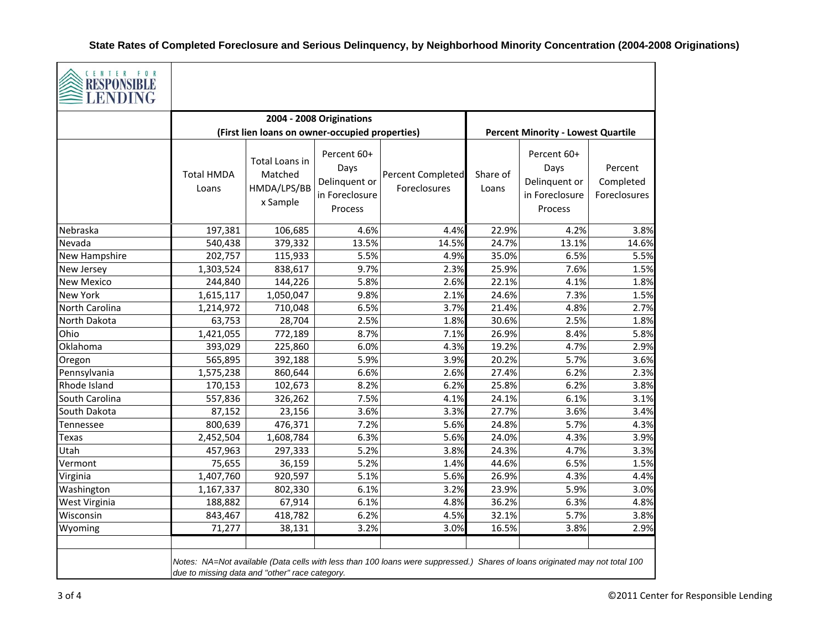|                   |                            | 2004 - 2008 Originations                             |                                                                   |                                          |                   |                                                                   |                                      |
|-------------------|----------------------------|------------------------------------------------------|-------------------------------------------------------------------|------------------------------------------|-------------------|-------------------------------------------------------------------|--------------------------------------|
|                   |                            | (First lien loans on owner-occupied properties)      | <b>Percent Minority - Lowest Quartile</b>                         |                                          |                   |                                                                   |                                      |
|                   | <b>Total HMDA</b><br>Loans | Total Loans in<br>Matched<br>HMDA/LPS/BB<br>x Sample | Percent 60+<br>Days<br>Delinquent or<br>in Foreclosure<br>Process | <b>Percent Completed</b><br>Foreclosures | Share of<br>Loans | Percent 60+<br>Days<br>Delinquent or<br>in Foreclosure<br>Process | Percent<br>Completed<br>Foreclosures |
| Nebraska          | 197,381                    | 106,685                                              | 4.6%                                                              | 4.4%                                     | 22.9%             | 4.2%                                                              | 3.8%                                 |
| Nevada            | 540,438                    | 379,332                                              | 13.5%                                                             | 14.5%                                    | 24.7%             | 13.1%                                                             | 14.6%                                |
| New Hampshire     | 202,757                    | 115,933                                              | 5.5%                                                              | 4.9%                                     | 35.0%             | 6.5%                                                              | 5.5%                                 |
| New Jersey        | 1,303,524                  | 838,617                                              | 9.7%                                                              | 2.3%                                     | 25.9%             | 7.6%                                                              | 1.5%                                 |
| <b>New Mexico</b> | 244,840                    | 144,226                                              | 5.8%                                                              | 2.6%                                     | 22.1%             | 4.1%                                                              | 1.8%                                 |
| New York          | 1,615,117                  | 1,050,047                                            | 9.8%                                                              | 2.1%                                     | 24.6%             | 7.3%                                                              | 1.5%                                 |
| North Carolina    | 1,214,972                  | 710,048                                              | 6.5%                                                              | 3.7%                                     | 21.4%             | 4.8%                                                              | 2.7%                                 |
| North Dakota      | 63,753                     | 28,704                                               | 2.5%                                                              | 1.8%                                     | 30.6%             | 2.5%                                                              | 1.8%                                 |
| Ohio              | 1,421,055                  | 772,189                                              | 8.7%                                                              | 7.1%                                     | 26.9%             | 8.4%                                                              | 5.8%                                 |
| Oklahoma          | 393,029                    | 225,860                                              | 6.0%                                                              | 4.3%                                     | 19.2%             | 4.7%                                                              | 2.9%                                 |
| Oregon            | 565,895                    | 392,188                                              | 5.9%                                                              | 3.9%                                     | 20.2%             | 5.7%                                                              | 3.6%                                 |
| Pennsylvania      | 1,575,238                  | 860,644                                              | 6.6%                                                              | 2.6%                                     | 27.4%             | 6.2%                                                              | 2.3%                                 |
| Rhode Island      | 170,153                    | 102,673                                              | 8.2%                                                              | 6.2%                                     | 25.8%             | 6.2%                                                              | 3.8%                                 |
| South Carolina    | 557,836                    | 326,262                                              | 7.5%                                                              | 4.1%                                     | 24.1%             | 6.1%                                                              | 3.1%                                 |
| South Dakota      | 87,152                     | 23,156                                               | 3.6%                                                              | 3.3%                                     | 27.7%             | 3.6%                                                              | 3.4%                                 |
| Tennessee         | 800,639                    | 476,371                                              | 7.2%                                                              | 5.6%                                     | 24.8%             | 5.7%                                                              | 4.3%                                 |
| Texas             | 2,452,504                  | 1,608,784                                            | 6.3%                                                              | 5.6%                                     | 24.0%             | 4.3%                                                              | 3.9%                                 |
| Utah              | 457,963                    | 297,333                                              | 5.2%                                                              | 3.8%                                     | 24.3%             | 4.7%                                                              | 3.3%                                 |
| Vermont           | 75,655                     | 36,159                                               | 5.2%                                                              | 1.4%                                     | 44.6%             | 6.5%                                                              | 1.5%                                 |
| Virginia          | 1,407,760                  | 920,597                                              | 5.1%                                                              | 5.6%                                     | 26.9%             | 4.3%                                                              | 4.4%                                 |
| Washington        | 1,167,337                  | 802,330                                              | 6.1%                                                              | 3.2%                                     | 23.9%             | 5.9%                                                              | 3.0%                                 |
| West Virginia     | 188,882                    | 67,914                                               | 6.1%                                                              | 4.8%                                     | 36.2%             | 6.3%                                                              | 4.8%                                 |
| Wisconsin         | 843,467                    | 418,782                                              | 6.2%                                                              | 4.5%                                     | 32.1%             | 5.7%                                                              | 3.8%                                 |
| Wyoming           | 71,277                     | 38,131                                               | 3.2%                                                              | 3.0%                                     | 16.5%             | 3.8%                                                              | 2.9%                                 |